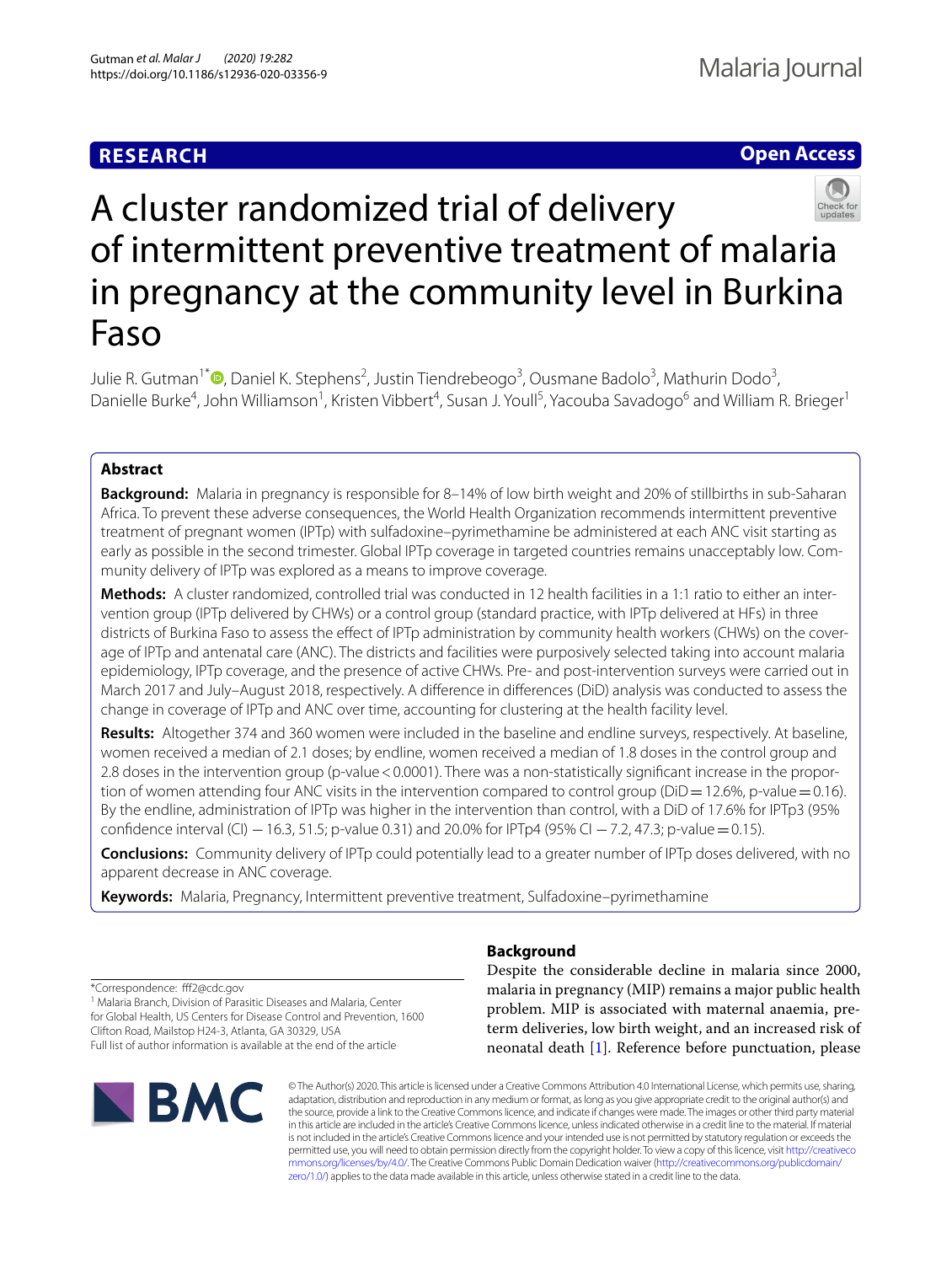# **RESEARCH**

# **Open Access**



# A cluster randomized trial of delivery of intermittent preventive treatment of malaria in pregnancy at the community level in Burkina Faso

Julie R. Gutman<sup>1\*</sup> <sup>(D</sup>[,](http://orcid.org/0000-0001-6769-7322) Daniel K. Stephens<sup>2</sup>, Justin Tiendrebeogo<sup>3</sup>, Ousmane Badolo<sup>3</sup>, Mathurin Dodo<sup>3</sup>, Danielle Burke<sup>4</sup>, John Williamson<sup>1</sup>, Kristen Vibbert<sup>4</sup>, Susan J. Youll<sup>5</sup>, Yacouba Savadogo<sup>6</sup> and William R. Brieger<sup>1</sup>

# **Abstract**

**Background:** Malaria in pregnancy is responsible for 8–14% of low birth weight and 20% of stillbirths in sub-Saharan Africa. To prevent these adverse consequences, the World Health Organization recommends intermittent preventive treatment of pregnant women (IPTp) with sulfadoxine–pyrimethamine be administered at each ANC visit starting as early as possible in the second trimester. Global IPTp coverage in targeted countries remains unacceptably low. Community delivery of IPTp was explored as a means to improve coverage.

**Methods:** A cluster randomized, controlled trial was conducted in 12 health facilities in a 1:1 ratio to either an intervention group (IPTp delivered by CHWs) or a control group (standard practice, with IPTp delivered at HFs) in three districts of Burkina Faso to assess the efect of IPTp administration by community health workers (CHWs) on the coverage of IPTp and antenatal care (ANC). The districts and facilities were purposively selected taking into account malaria epidemiology, IPTp coverage, and the presence of active CHWs. Pre- and post-intervention surveys were carried out in March 2017 and July–August 2018, respectively. A diference in diferences (DiD) analysis was conducted to assess the change in coverage of IPTp and ANC over time, accounting for clustering at the health facility level.

**Results:** Altogether 374 and 360 women were included in the baseline and endline surveys, respectively. At baseline, women received a median of 2.1 doses; by endline, women received a median of 1.8 doses in the control group and 2.8 doses in the intervention group (p-value < 0.0001). There was a non-statistically significant increase in the proportion of women attending four ANC visits in the intervention compared to control group ( $DiD=12.6\%$ , p-value = 0.16). By the endline, administration of IPTp was higher in the intervention than control, with a DiD of 17.6% for IPTp3 (95% confidence interval (CI) −16.3, 51.5; p-value 0.31) and 20.0% for IPTp4 (95% CI −7.2, 47.3; p-value = 0.15).

**Conclusions:** Community delivery of IPTp could potentially lead to a greater number of IPTp doses delivered, with no apparent decrease in ANC coverage.

**Keywords:** Malaria, Pregnancy, Intermittent preventive treatment, Sulfadoxine–pyrimethamine

\*Correspondence: ff2@cdc.gov

<sup>1</sup> Malaria Branch, Division of Parasitic Diseases and Malaria, Center for Global Health, US Centers for Disease Control and Prevention, 1600 Clifton Road, Mailstop H24-3, Atlanta, GA 30329, USA Full list of author information is available at the end of the article



# **Background**

Despite the considerable decline in malaria since 2000, malaria in pregnancy (MIP) remains a major public health problem. MIP is associated with maternal anaemia, preterm deliveries, low birth weight, and an increased risk of neonatal death [\[1](#page-9-0)]. Reference before punctuation, please

© The Author(s) 2020. This article is licensed under a Creative Commons Attribution 4.0 International License, which permits use, sharing, adaptation, distribution and reproduction in any medium or format, as long as you give appropriate credit to the original author(s) and the source, provide a link to the Creative Commons licence, and indicate if changes were made. The images or other third party material in this article are included in the article's Creative Commons licence, unless indicated otherwise in a credit line to the material. If material is not included in the article's Creative Commons licence and your intended use is not permitted by statutory regulation or exceeds the permitted use, you will need to obtain permission directly from the copyright holder. To view a copy of this licence, visit [http://creativeco](http://creativecommons.org/licenses/by/4.0/) [mmons.org/licenses/by/4.0/.](http://creativecommons.org/licenses/by/4.0/) The Creative Commons Public Domain Dedication waiver ([http://creativecommons.org/publicdomain/](http://creativecommons.org/publicdomain/zero/1.0/) [zero/1.0/\)](http://creativecommons.org/publicdomain/zero/1.0/) applies to the data made available in this article, unless otherwise stated in a credit line to the data.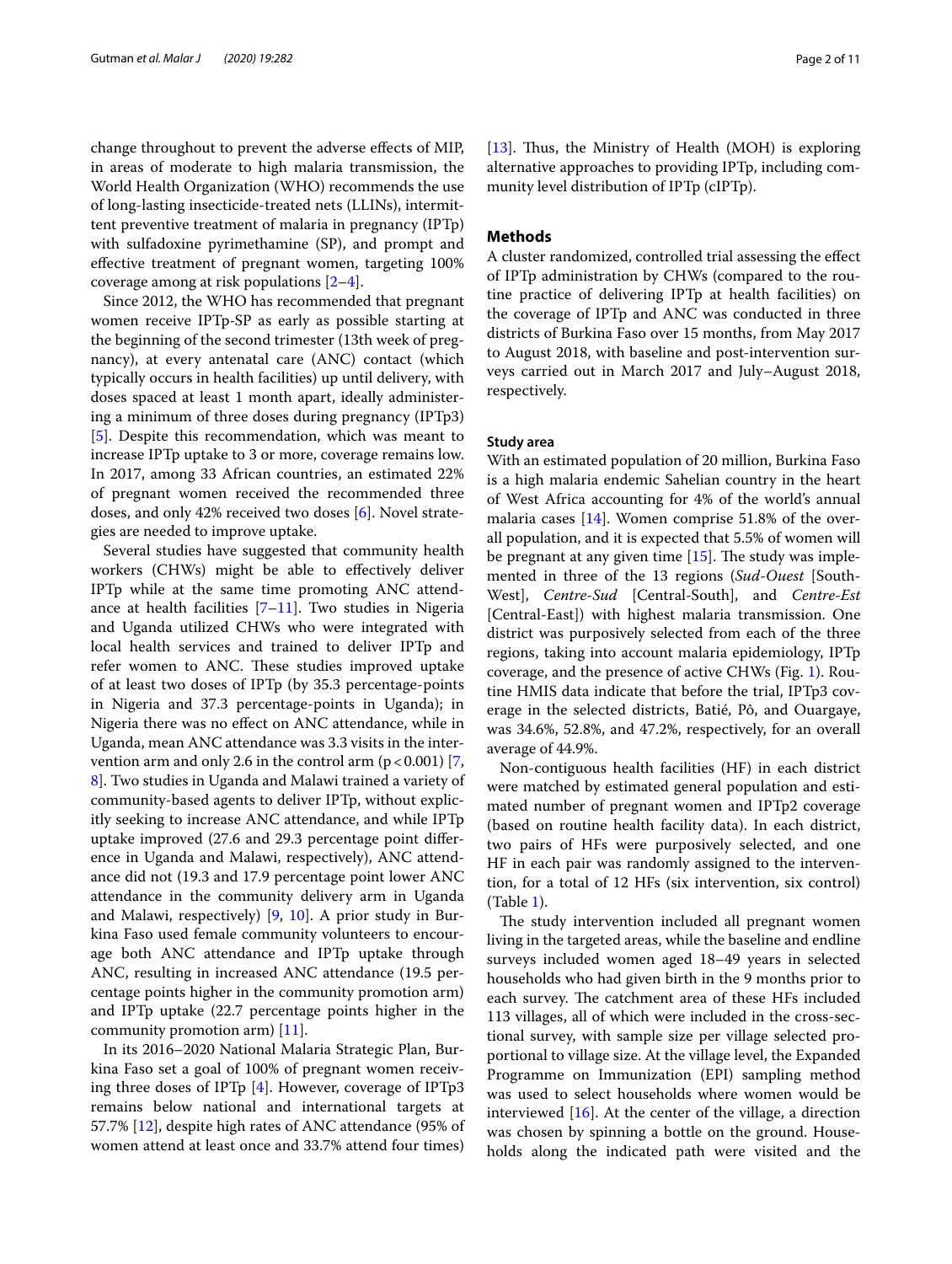change throughout to prevent the adverse efects of MIP, in areas of moderate to high malaria transmission, the World Health Organization (WHO) recommends the use of long-lasting insecticide-treated nets (LLINs), intermittent preventive treatment of malaria in pregnancy (IPTp) with sulfadoxine pyrimethamine (SP), and prompt and efective treatment of pregnant women, targeting 100% coverage among at risk populations [\[2](#page-10-0)[–4](#page-10-1)].

Since 2012, the WHO has recommended that pregnant women receive IPTp-SP as early as possible starting at the beginning of the second trimester (13th week of pregnancy), at every antenatal care (ANC) contact (which typically occurs in health facilities) up until delivery, with doses spaced at least 1 month apart, ideally administering a minimum of three doses during pregnancy (IPTp3) [[5\]](#page-10-2). Despite this recommendation, which was meant to increase IPTp uptake to 3 or more, coverage remains low. In 2017, among 33 African countries, an estimated 22% of pregnant women received the recommended three doses, and only 42% received two doses [[6](#page-10-3)]. Novel strategies are needed to improve uptake.

Several studies have suggested that community health workers (CHWs) might be able to efectively deliver IPTp while at the same time promoting ANC attendance at health facilities  $[7-11]$  $[7-11]$  $[7-11]$ . Two studies in Nigeria and Uganda utilized CHWs who were integrated with local health services and trained to deliver IPTp and refer women to ANC. These studies improved uptake of at least two doses of IPTp (by 35.3 percentage-points in Nigeria and 37.3 percentage-points in Uganda); in Nigeria there was no efect on ANC attendance, while in Uganda, mean ANC attendance was 3.3 visits in the intervention arm and only 2.6 in the control arm  $(p < 0.001)$  [\[7](#page-10-4), [8\]](#page-10-6). Two studies in Uganda and Malawi trained a variety of community-based agents to deliver IPTp, without explicitly seeking to increase ANC attendance, and while IPTp uptake improved (27.6 and 29.3 percentage point diference in Uganda and Malawi, respectively), ANC attendance did not (19.3 and 17.9 percentage point lower ANC attendance in the community delivery arm in Uganda and Malawi, respectively) [\[9,](#page-10-7) [10\]](#page-10-8). A prior study in Burkina Faso used female community volunteers to encourage both ANC attendance and IPTp uptake through ANC, resulting in increased ANC attendance (19.5 percentage points higher in the community promotion arm) and IPTp uptake (22.7 percentage points higher in the community promotion arm) [[11](#page-10-5)].

In its 2016–2020 National Malaria Strategic Plan, Burkina Faso set a goal of 100% of pregnant women receiving three doses of IPTp [\[4](#page-10-1)]. However, coverage of IPTp3 remains below national and international targets at 57.7% [\[12](#page-10-9)], despite high rates of ANC attendance (95% of women attend at least once and 33.7% attend four times)

[[13\]](#page-10-10). Thus, the Ministry of Health (MOH) is exploring alternative approaches to providing IPTp, including community level distribution of IPTp (cIPTp).

## **Methods**

A cluster randomized, controlled trial assessing the efect of IPTp administration by CHWs (compared to the routine practice of delivering IPTp at health facilities) on the coverage of IPTp and ANC was conducted in three districts of Burkina Faso over 15 months, from May 2017 to August 2018, with baseline and post-intervention surveys carried out in March 2017 and July–August 2018, respectively.

## **Study area**

With an estimated population of 20 million, Burkina Faso is a high malaria endemic Sahelian country in the heart of West Africa accounting for 4% of the world's annual malaria cases [[14](#page-10-11)]. Women comprise 51.8% of the overall population, and it is expected that 5.5% of women will be pregnant at any given time  $[15]$ . The study was implemented in three of the 13 regions (*Sud*-*Ouest* [South-West], *Centre*-*Sud* [Central-South], and *Centre*-*Est* [Central-East]) with highest malaria transmission. One district was purposively selected from each of the three regions, taking into account malaria epidemiology, IPTp coverage, and the presence of active CHWs (Fig. [1](#page-2-0)). Routine HMIS data indicate that before the trial, IPTp3 coverage in the selected districts, Batié, Pô, and Ouargaye, was 34.6%, 52.8%, and 47.2%, respectively, for an overall average of 44.9%.

Non-contiguous health facilities (HF) in each district were matched by estimated general population and estimated number of pregnant women and IPTp2 coverage (based on routine health facility data). In each district, two pairs of HFs were purposively selected, and one HF in each pair was randomly assigned to the intervention, for a total of 12 HFs (six intervention, six control) (Table [1\)](#page-2-1).

The study intervention included all pregnant women living in the targeted areas, while the baseline and endline surveys included women aged 18–49 years in selected households who had given birth in the 9 months prior to each survey. The catchment area of these HFs included 113 villages, all of which were included in the cross-sectional survey, with sample size per village selected proportional to village size. At the village level, the Expanded Programme on Immunization (EPI) sampling method was used to select households where women would be interviewed [\[16](#page-10-13)]. At the center of the village, a direction was chosen by spinning a bottle on the ground. Households along the indicated path were visited and the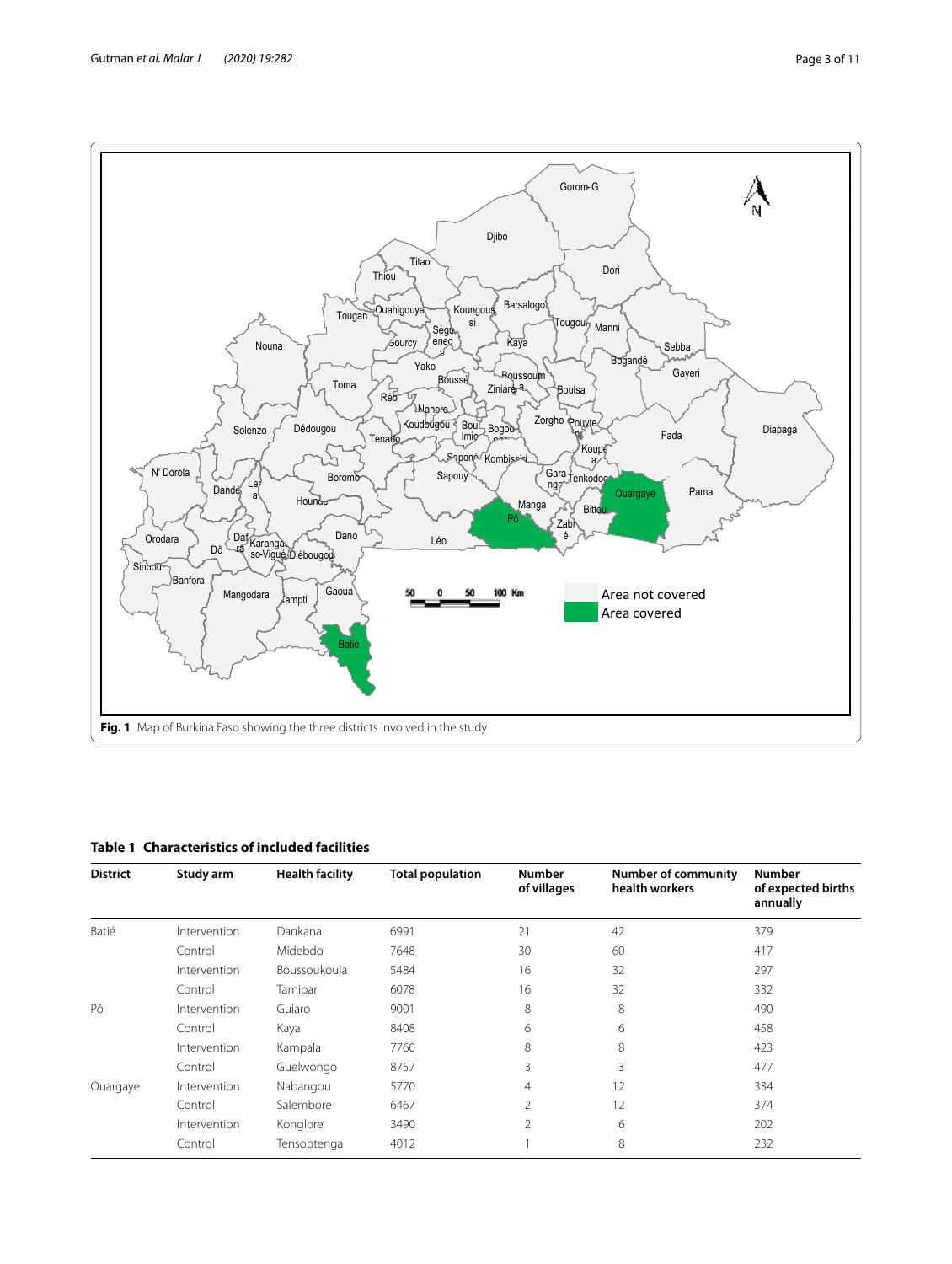

<span id="page-2-1"></span><span id="page-2-0"></span>

| <b>District</b> | Study arm    | <b>Health facility</b> | <b>Total population</b> | <b>Number</b><br>of villages | <b>Number of community</b><br>health workers | <b>Number</b><br>of expected births<br>annually |
|-----------------|--------------|------------------------|-------------------------|------------------------------|----------------------------------------------|-------------------------------------------------|
| Batié           | Intervention | Dankana                | 6991                    | 21                           | 42                                           | 379                                             |
|                 | Control      | Midebdo                | 7648                    | 30                           | 60                                           | 417                                             |
|                 | Intervention | Boussoukoula           | 5484                    | 16                           | 32                                           | 297                                             |
|                 | Control      | Tamipar                | 6078                    | 16                           | 32                                           | 332                                             |
| Pô              | Intervention | Guiaro                 | 9001                    | 8                            | 8                                            | 490                                             |
|                 | Control      | Kaya                   | 8408                    | 6                            | 6                                            | 458                                             |
|                 | Intervention | Kampala                | 7760                    | 8                            | 8                                            | 423                                             |
|                 | Control      | Guelwongo              | 8757                    | 3                            | 3                                            | 477                                             |
| Ouargaye        | Intervention | Nabangou               | 5770                    | $\overline{4}$               | 12                                           | 334                                             |
|                 | Control      | Salembore              | 6467                    | $\overline{2}$               | 12                                           | 374                                             |
|                 | Intervention | Konglore               | 3490                    | $\overline{2}$               | 6                                            | 202                                             |
|                 | Control      | Tensobtenga            | 4012                    |                              | 8                                            | 232                                             |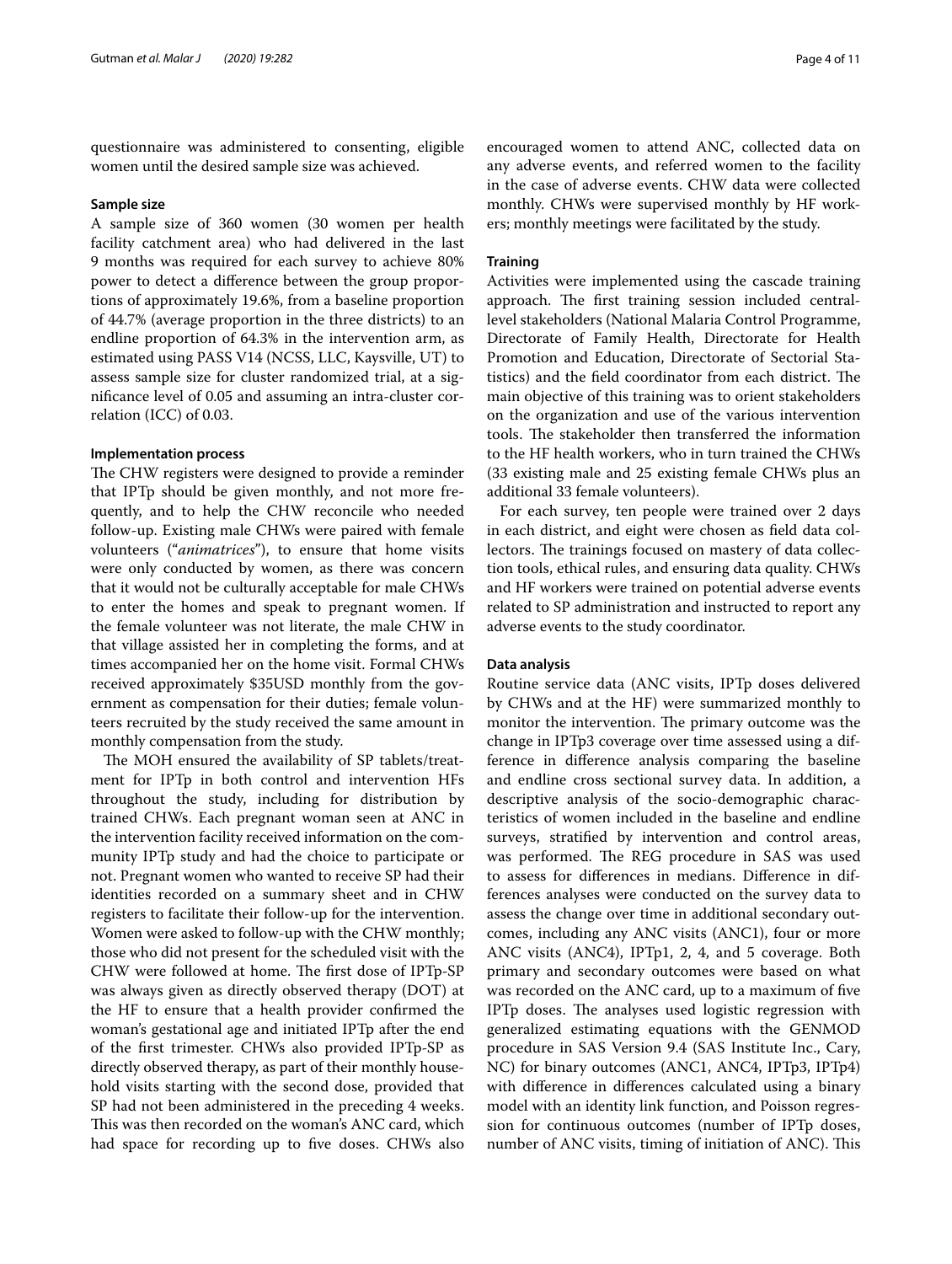questionnaire was administered to consenting, eligible women until the desired sample size was achieved.

#### **Sample size**

A sample size of 360 women (30 women per health facility catchment area) who had delivered in the last 9 months was required for each survey to achieve 80% power to detect a diference between the group proportions of approximately 19.6%, from a baseline proportion of 44.7% (average proportion in the three districts) to an endline proportion of 64.3% in the intervention arm, as estimated using PASS V14 (NCSS, LLC, Kaysville, UT) to assess sample size for cluster randomized trial, at a signifcance level of 0.05 and assuming an intra-cluster correlation (ICC) of 0.03.

## **Implementation process**

The CHW registers were designed to provide a reminder that IPTp should be given monthly, and not more frequently, and to help the CHW reconcile who needed follow-up. Existing male CHWs were paired with female volunteers ("*animatrices*"), to ensure that home visits were only conducted by women, as there was concern that it would not be culturally acceptable for male CHWs to enter the homes and speak to pregnant women. If the female volunteer was not literate, the male CHW in that village assisted her in completing the forms, and at times accompanied her on the home visit. Formal CHWs received approximately \$35USD monthly from the government as compensation for their duties; female volunteers recruited by the study received the same amount in monthly compensation from the study.

The MOH ensured the availability of SP tablets/treatment for IPTp in both control and intervention HFs throughout the study, including for distribution by trained CHWs. Each pregnant woman seen at ANC in the intervention facility received information on the community IPTp study and had the choice to participate or not. Pregnant women who wanted to receive SP had their identities recorded on a summary sheet and in CHW registers to facilitate their follow-up for the intervention. Women were asked to follow-up with the CHW monthly; those who did not present for the scheduled visit with the CHW were followed at home. The first dose of IPTp-SP was always given as directly observed therapy (DOT) at the HF to ensure that a health provider confrmed the woman's gestational age and initiated IPTp after the end of the frst trimester. CHWs also provided IPTp-SP as directly observed therapy, as part of their monthly household visits starting with the second dose, provided that SP had not been administered in the preceding 4 weeks. This was then recorded on the woman's ANC card, which had space for recording up to fve doses. CHWs also encouraged women to attend ANC, collected data on any adverse events, and referred women to the facility in the case of adverse events. CHW data were collected monthly. CHWs were supervised monthly by HF workers; monthly meetings were facilitated by the study.

#### **Training**

Activities were implemented using the cascade training approach. The first training session included centrallevel stakeholders (National Malaria Control Programme, Directorate of Family Health, Directorate for Health Promotion and Education, Directorate of Sectorial Statistics) and the field coordinator from each district. The main objective of this training was to orient stakeholders on the organization and use of the various intervention tools. The stakeholder then transferred the information to the HF health workers, who in turn trained the CHWs (33 existing male and 25 existing female CHWs plus an additional 33 female volunteers).

For each survey, ten people were trained over 2 days in each district, and eight were chosen as feld data collectors. The trainings focused on mastery of data collection tools, ethical rules, and ensuring data quality. CHWs and HF workers were trained on potential adverse events related to SP administration and instructed to report any adverse events to the study coordinator.

## **Data analysis**

Routine service data (ANC visits, IPTp doses delivered by CHWs and at the HF) were summarized monthly to monitor the intervention. The primary outcome was the change in IPTp3 coverage over time assessed using a difference in diference analysis comparing the baseline and endline cross sectional survey data. In addition, a descriptive analysis of the socio-demographic characteristics of women included in the baseline and endline surveys, stratifed by intervention and control areas, was performed. The REG procedure in SAS was used to assess for diferences in medians. Diference in differences analyses were conducted on the survey data to assess the change over time in additional secondary outcomes, including any ANC visits (ANC1), four or more ANC visits (ANC4), IPTp1, 2, 4, and 5 coverage. Both primary and secondary outcomes were based on what was recorded on the ANC card, up to a maximum of fve IPTp doses. The analyses used logistic regression with generalized estimating equations with the GENMOD procedure in SAS Version 9.4 (SAS Institute Inc., Cary, NC) for binary outcomes (ANC1, ANC4, IPTp3, IPTp4) with diference in diferences calculated using a binary model with an identity link function, and Poisson regression for continuous outcomes (number of IPTp doses, number of ANC visits, timing of initiation of ANC). This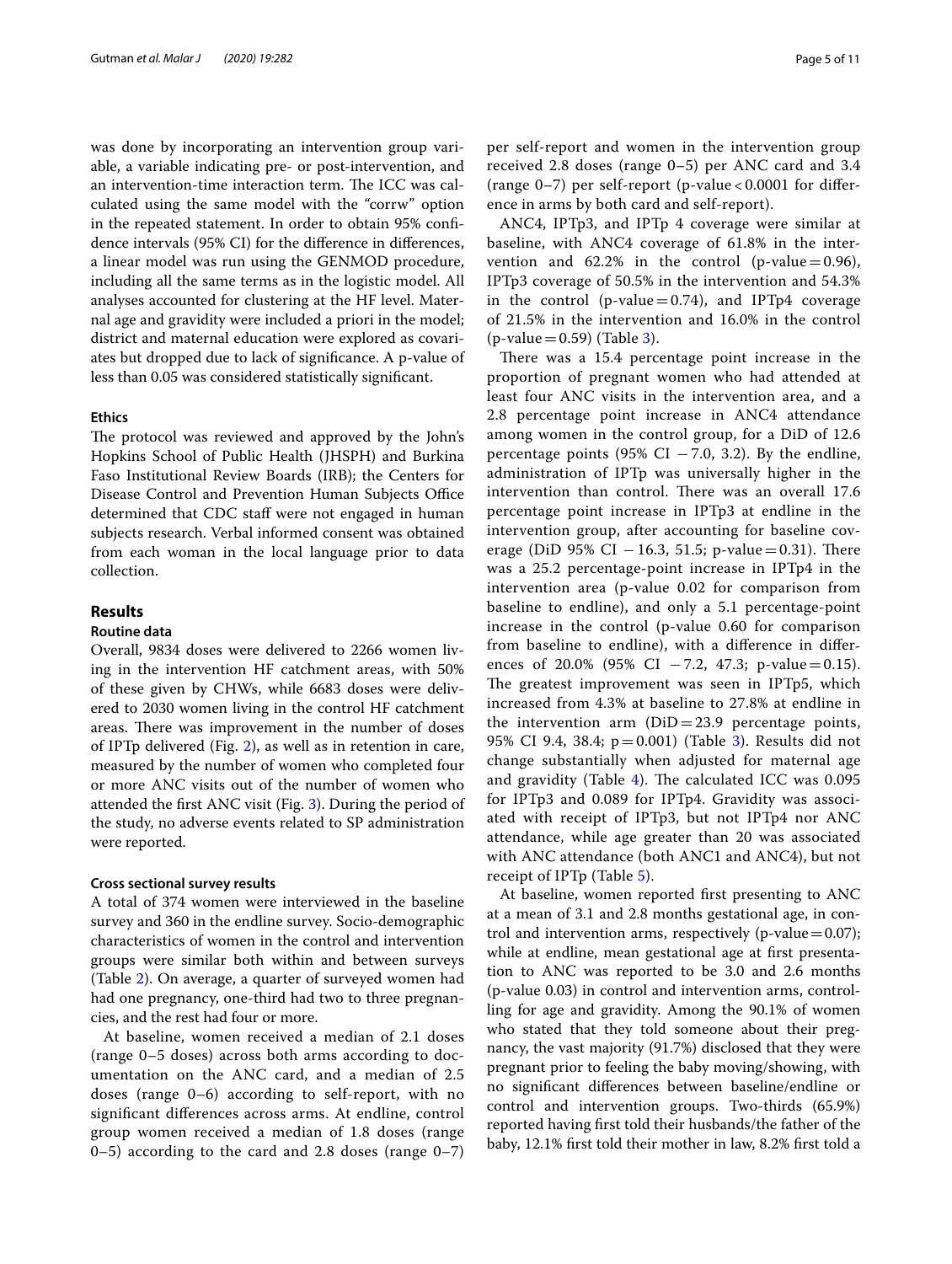was done by incorporating an intervention group variable, a variable indicating pre- or post-intervention, and an intervention-time interaction term. The ICC was calculated using the same model with the "corrw" option in the repeated statement. In order to obtain 95% confdence intervals (95% CI) for the diference in diferences, a linear model was run using the GENMOD procedure, including all the same terms as in the logistic model. All analyses accounted for clustering at the HF level. Maternal age and gravidity were included a priori in the model; district and maternal education were explored as covariates but dropped due to lack of signifcance. A p-value of less than 0.05 was considered statistically signifcant.

## **Ethics**

The protocol was reviewed and approved by the John's Hopkins School of Public Health (JHSPH) and Burkina Faso Institutional Review Boards (IRB); the Centers for Disease Control and Prevention Human Subjects Office determined that CDC staff were not engaged in human subjects research. Verbal informed consent was obtained from each woman in the local language prior to data collection.

## **Results**

## **Routine data**

Overall, 9834 doses were delivered to 2266 women living in the intervention HF catchment areas, with 50% of these given by CHWs, while 6683 doses were delivered to 2030 women living in the control HF catchment areas. There was improvement in the number of doses of IPTp delivered (Fig. [2](#page-5-0)), as well as in retention in care, measured by the number of women who completed four or more ANC visits out of the number of women who attended the frst ANC visit (Fig. [3\)](#page-6-0). During the period of the study, no adverse events related to SP administration were reported.

#### **Cross sectional survey results**

A total of 374 women were interviewed in the baseline survey and 360 in the endline survey. Socio-demographic characteristics of women in the control and intervention groups were similar both within and between surveys (Table [2](#page-7-0)). On average, a quarter of surveyed women had had one pregnancy, one-third had two to three pregnancies, and the rest had four or more.

At baseline, women received a median of 2.1 doses (range 0–5 doses) across both arms according to documentation on the ANC card, and a median of 2.5 doses (range 0–6) according to self-report, with no signifcant diferences across arms. At endline, control group women received a median of 1.8 doses (range  $0-5$ ) according to the card and 2.8 doses (range  $0-7$ ) per self-report and women in the intervention group received 2.8 doses (range 0–5) per ANC card and 3.4 (range 0–7) per self-report (p-value < 0.0001 for diference in arms by both card and self-report).

ANC4, IPTp3, and IPTp 4 coverage were similar at baseline, with ANC4 coverage of 61.8% in the intervention and  $62.2\%$  in the control (p-value=0.96), IPTp3 coverage of 50.5% in the intervention and 54.3% in the control (p-value  $= 0.74$ ), and IPTp4 coverage of 21.5% in the intervention and 16.0% in the control  $(p-value = 0.59)$  (Table [3](#page-8-0)).

There was a 15.4 percentage point increase in the proportion of pregnant women who had attended at least four ANC visits in the intervention area, and a 2.8 percentage point increase in ANC4 attendance among women in the control group, for a DiD of 12.6 percentage points (95% CI  $-7.0$ , 3.2). By the endline, administration of IPTp was universally higher in the intervention than control. There was an overall 17.6 percentage point increase in IPTp3 at endline in the intervention group, after accounting for baseline coverage (DiD 95% CI  $-16.3$ , 51.5; p-value=0.31). There was a 25.2 percentage-point increase in IPTp4 in the intervention area (p-value 0.02 for comparison from baseline to endline), and only a 5.1 percentage-point increase in the control (p-value 0.60 for comparison from baseline to endline), with a diference in diferences of 20.0% (95% CI  $-7.2$ , 47.3; p-value=0.15). The greatest improvement was seen in IPTp5, which increased from 4.3% at baseline to 27.8% at endline in the intervention arm  $(DiD=23.9)$  percentage points, 95% CI 9.4, 38.4; p=0.001) (Table [3](#page-8-0)). Results did not change substantially when adjusted for maternal age and gravidity (Table  $4$ ). The calculated ICC was 0.095 for IPTp3 and 0.089 for IPTp4. Gravidity was associated with receipt of IPTp3, but not IPTp4 nor ANC attendance, while age greater than 20 was associated with ANC attendance (both ANC1 and ANC4), but not receipt of IPTp (Table [5\)](#page-9-1).

At baseline, women reported frst presenting to ANC at a mean of 3.1 and 2.8 months gestational age, in control and intervention arms, respectively (p-value $=0.07$ ); while at endline, mean gestational age at first presentation to ANC was reported to be 3.0 and 2.6 months (p-value 0.03) in control and intervention arms, controlling for age and gravidity. Among the 90.1% of women who stated that they told someone about their pregnancy, the vast majority (91.7%) disclosed that they were pregnant prior to feeling the baby moving/showing, with no signifcant diferences between baseline/endline or control and intervention groups. Two-thirds (65.9%) reported having frst told their husbands/the father of the baby, 12.1% frst told their mother in law, 8.2% frst told a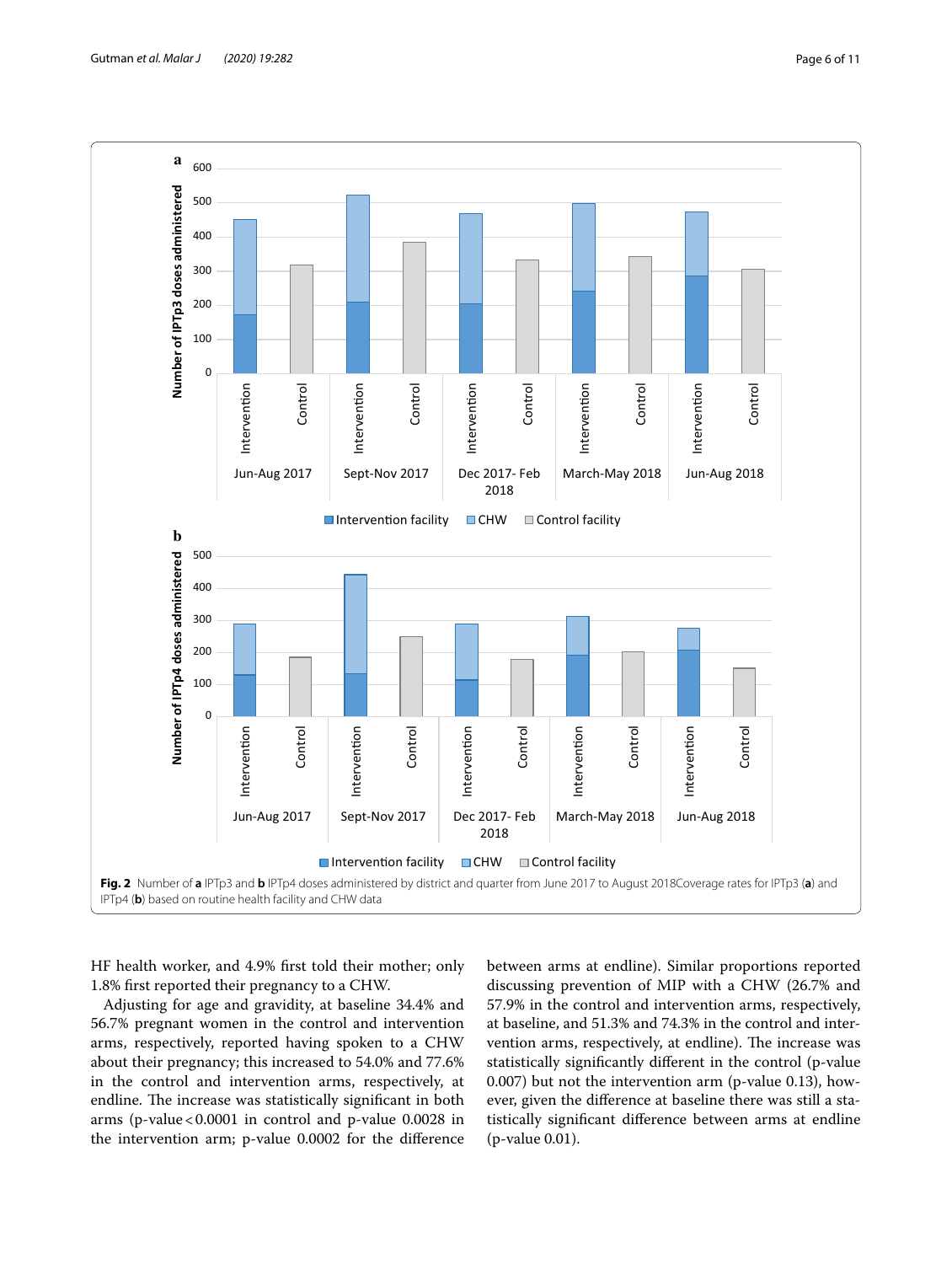

<span id="page-5-0"></span>HF health worker, and 4.9% frst told their mother; only 1.8% frst reported their pregnancy to a CHW.

Adjusting for age and gravidity, at baseline 34.4% and 56.7% pregnant women in the control and intervention arms, respectively, reported having spoken to a CHW about their pregnancy; this increased to 54.0% and 77.6% in the control and intervention arms, respectively, at endline. The increase was statistically significant in both arms (p-value  $< 0.0001$  in control and p-value 0.0028 in the intervention arm; p-value 0.0002 for the diference between arms at endline). Similar proportions reported discussing prevention of MIP with a CHW (26.7% and 57.9% in the control and intervention arms, respectively, at baseline, and 51.3% and 74.3% in the control and intervention arms, respectively, at endline). The increase was statistically signifcantly diferent in the control (p-value 0.007) but not the intervention arm (p-value 0.13), however, given the diference at baseline there was still a statistically signifcant diference between arms at endline (p-value 0.01).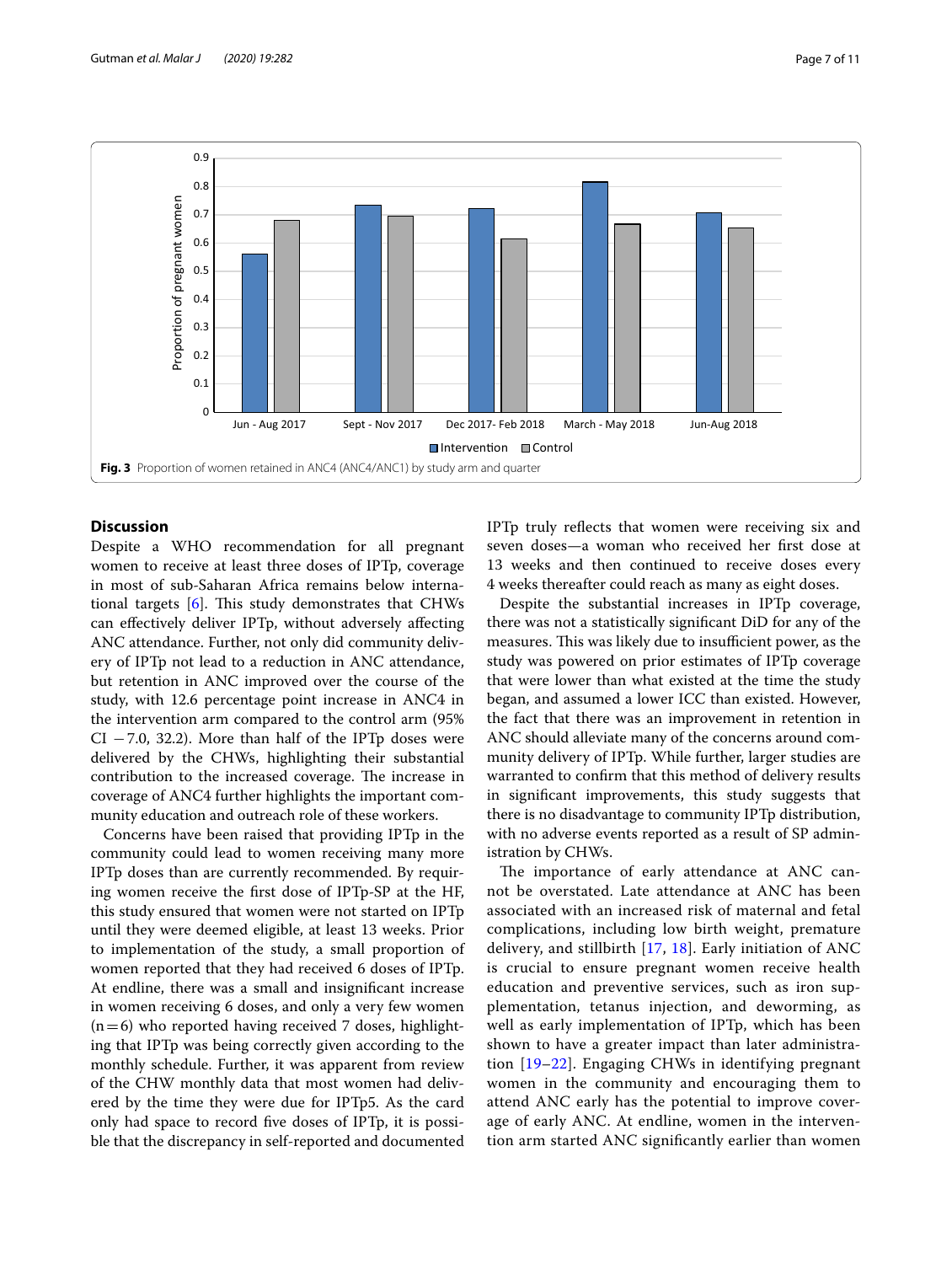

## <span id="page-6-0"></span>**Discussion**

Despite a WHO recommendation for all pregnant women to receive at least three doses of IPTp, coverage in most of sub-Saharan Africa remains below international targets  $[6]$  $[6]$ . This study demonstrates that CHWs can efectively deliver IPTp, without adversely afecting ANC attendance. Further, not only did community delivery of IPTp not lead to a reduction in ANC attendance, but retention in ANC improved over the course of the study, with 12.6 percentage point increase in ANC4 in the intervention arm compared to the control arm (95%  $CI$  –7.0, 32.2). More than half of the IPTp doses were delivered by the CHWs, highlighting their substantial contribution to the increased coverage. The increase in coverage of ANC4 further highlights the important community education and outreach role of these workers.

Concerns have been raised that providing IPTp in the community could lead to women receiving many more IPTp doses than are currently recommended. By requiring women receive the frst dose of IPTp-SP at the HF, this study ensured that women were not started on IPTp until they were deemed eligible, at least 13 weeks. Prior to implementation of the study, a small proportion of women reported that they had received 6 doses of IPTp. At endline, there was a small and insignifcant increase in women receiving 6 doses, and only a very few women  $(n=6)$  who reported having received 7 doses, highlighting that IPTp was being correctly given according to the monthly schedule. Further, it was apparent from review of the CHW monthly data that most women had delivered by the time they were due for IPTp5. As the card only had space to record fve doses of IPTp, it is possible that the discrepancy in self-reported and documented IPTp truly refects that women were receiving six and seven doses—a woman who received her frst dose at 13 weeks and then continued to receive doses every 4 weeks thereafter could reach as many as eight doses.

Despite the substantial increases in IPTp coverage, there was not a statistically signifcant DiD for any of the measures. This was likely due to insufficient power, as the study was powered on prior estimates of IPTp coverage that were lower than what existed at the time the study began, and assumed a lower ICC than existed. However, the fact that there was an improvement in retention in ANC should alleviate many of the concerns around community delivery of IPTp. While further, larger studies are warranted to confrm that this method of delivery results in signifcant improvements, this study suggests that there is no disadvantage to community IPTp distribution, with no adverse events reported as a result of SP administration by CHWs.

The importance of early attendance at ANC cannot be overstated. Late attendance at ANC has been associated with an increased risk of maternal and fetal complications, including low birth weight, premature delivery, and stillbirth [[17,](#page-10-14) [18](#page-10-15)]. Early initiation of ANC is crucial to ensure pregnant women receive health education and preventive services, such as iron supplementation, tetanus injection, and deworming, as well as early implementation of IPTp, which has been shown to have a greater impact than later administration [[19–](#page-10-16)[22](#page-10-17)]. Engaging CHWs in identifying pregnant women in the community and encouraging them to attend ANC early has the potential to improve coverage of early ANC. At endline, women in the intervention arm started ANC signifcantly earlier than women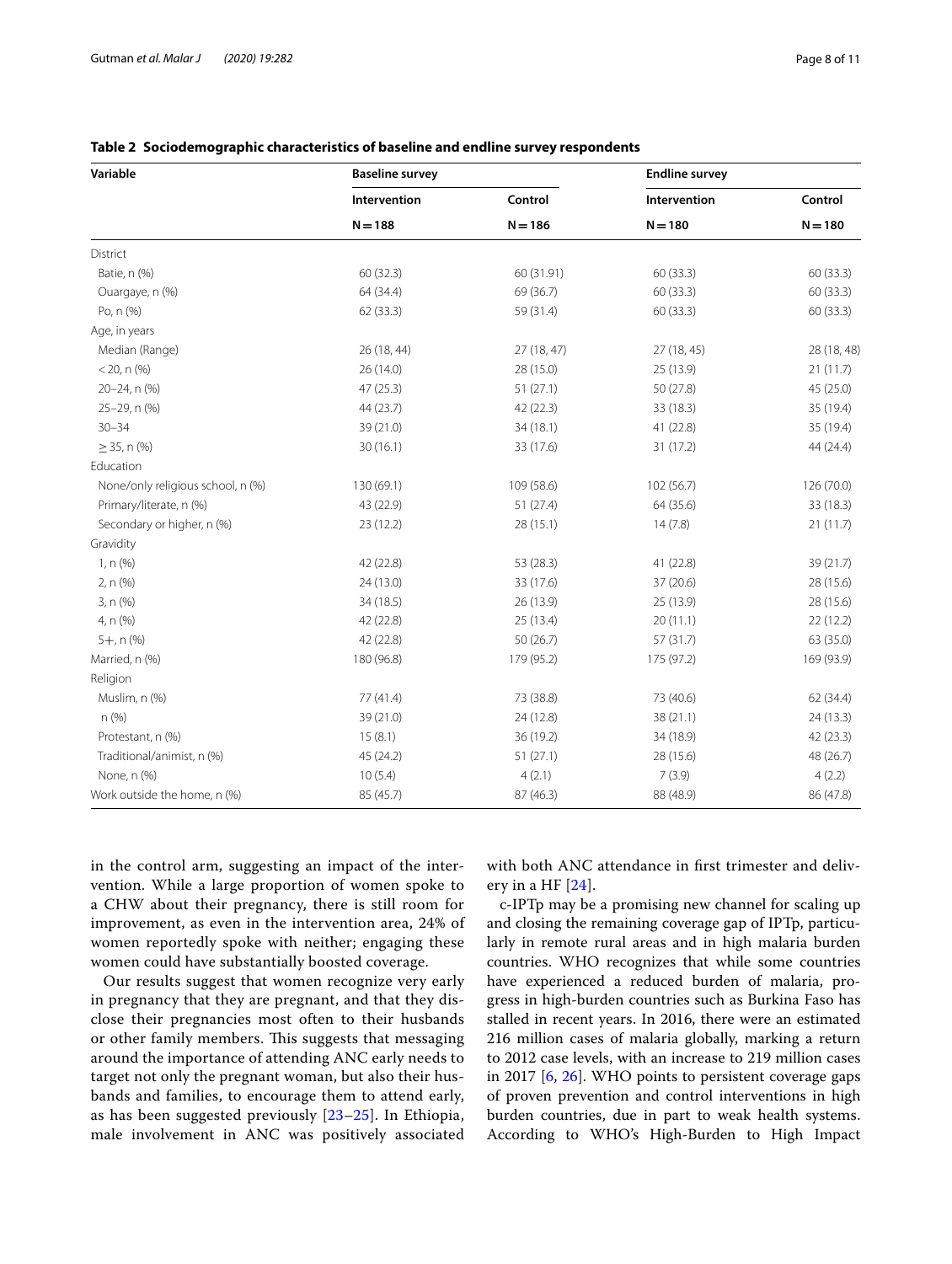| Variable                          | <b>Baseline survey</b> |            | <b>Endline survey</b> |             |  |
|-----------------------------------|------------------------|------------|-----------------------|-------------|--|
|                                   | Intervention           | Control    | Intervention          | Control     |  |
|                                   | $N = 188$              | $N = 186$  | $N = 180$             | $N = 180$   |  |
| District                          |                        |            |                       |             |  |
| Batie, n (%)                      | 60 (32.3)              | 60 (31.91) | 60 (33.3)             | 60 (33.3)   |  |
| Ouargaye, n (%)                   | 64 (34.4)              | 69 (36.7)  | 60 (33.3)             | 60(33.3)    |  |
| Po, n (%)                         | 62(33.3)               | 59 (31.4)  | 60 (33.3)             | 60 (33.3)   |  |
| Age, in years                     |                        |            |                       |             |  |
| Median (Range)                    | 26 (18, 44)            | 27(18, 47) | 27 (18, 45)           | 28 (18, 48) |  |
| $<$ 20, n $(\% )$                 | 26 (14.0)              | 28 (15.0)  | 25 (13.9)             | 21(11.7)    |  |
| 20-24, n (%)                      | 47(25.3)               | 51(27.1)   | 50 (27.8)             | 45 (25.0)   |  |
| 25-29, n (%)                      | 44 (23.7)              | 42 (22.3)  | 33 (18.3)             | 35 (19.4)   |  |
| $30 - 34$                         | 39 (21.0)              | 34(18.1)   | 41 (22.8)             | 35 (19.4)   |  |
| $\geq$ 35, n (%)                  | 30(16.1)               | 33 (17.6)  | 31 (17.2)             | 44 (24.4)   |  |
| Education                         |                        |            |                       |             |  |
| None/only religious school, n (%) | 130 (69.1)             | 109 (58.6) | 102 (56.7)            | 126 (70.0)  |  |
| Primary/literate, n (%)           | 43 (22.9)              | 51(27.4)   | 64 (35.6)             | 33 (18.3)   |  |
| Secondary or higher, n (%)        | 23(12.2)               | 28 (15.1)  | 14(7.8)               | 21(11.7)    |  |
| Gravidity                         |                        |            |                       |             |  |
| 1, n (%)                          | 42 (22.8)              | 53 (28.3)  | 41 (22.8)             | 39 (21.7)   |  |
| 2, n (%)                          | 24 (13.0)              | 33 (17.6)  | 37(20.6)              | 28 (15.6)   |  |
| 3, n (%)                          | 34 (18.5)              | 26 (13.9)  | 25 (13.9)             | 28 (15.6)   |  |
| 4, n (%)                          | 42 (22.8)              | 25 (13.4)  | 20(11.1)              | 22 (12.2)   |  |
| $5+$ , n $(%)$                    | 42 (22.8)              | 50(26.7)   | 57(31.7)              | 63 (35.0)   |  |
| Married, n (%)                    | 180 (96.8)             | 179 (95.2) | 175 (97.2)            | 169 (93.9)  |  |
| Religion                          |                        |            |                       |             |  |
| Muslim, n (%)                     | 77 (41.4)              | 73 (38.8)  | 73 (40.6)             | 62 (34.4)   |  |
| n (%)                             | 39 (21.0)              | 24 (12.8)  | 38 (21.1)             | 24 (13.3)   |  |
| Protestant, n (%)                 | 15(8.1)                | 36 (19.2)  | 34 (18.9)             | 42 (23.3)   |  |
| Traditional/animist, n (%)        | 45 (24.2)              | 51(27.1)   | 28 (15.6)             | 48 (26.7)   |  |
| None, n (%)                       | 10(5.4)                | 4(2.1)     | 7(3.9)                | 4(2.2)      |  |
| Work outside the home, n (%)      | 85 (45.7)              | 87 (46.3)  | 88 (48.9)             | 86 (47.8)   |  |

<span id="page-7-0"></span>**Table 2 Sociodemographic characteristics of baseline and endline survey respondents**

in the control arm, suggesting an impact of the intervention. While a large proportion of women spoke to a CHW about their pregnancy, there is still room for improvement, as even in the intervention area, 24% of women reportedly spoke with neither; engaging these women could have substantially boosted coverage.

Our results suggest that women recognize very early in pregnancy that they are pregnant, and that they disclose their pregnancies most often to their husbands or other family members. This suggests that messaging around the importance of attending ANC early needs to target not only the pregnant woman, but also their husbands and families, to encourage them to attend early, as has been suggested previously [[23](#page-10-18)[–25](#page-10-19)]. In Ethiopia, male involvement in ANC was positively associated with both ANC attendance in frst trimester and delivery in a HF [\[24](#page-10-20)].

c-IPTp may be a promising new channel for scaling up and closing the remaining coverage gap of IPTp, particularly in remote rural areas and in high malaria burden countries. WHO recognizes that while some countries have experienced a reduced burden of malaria, progress in high-burden countries such as Burkina Faso has stalled in recent years. In 2016, there were an estimated 216 million cases of malaria globally, marking a return to 2012 case levels, with an increase to 219 million cases in 2017 [[6,](#page-10-3) [26\]](#page-10-21). WHO points to persistent coverage gaps of proven prevention and control interventions in high burden countries, due in part to weak health systems. According to WHO's High-Burden to High Impact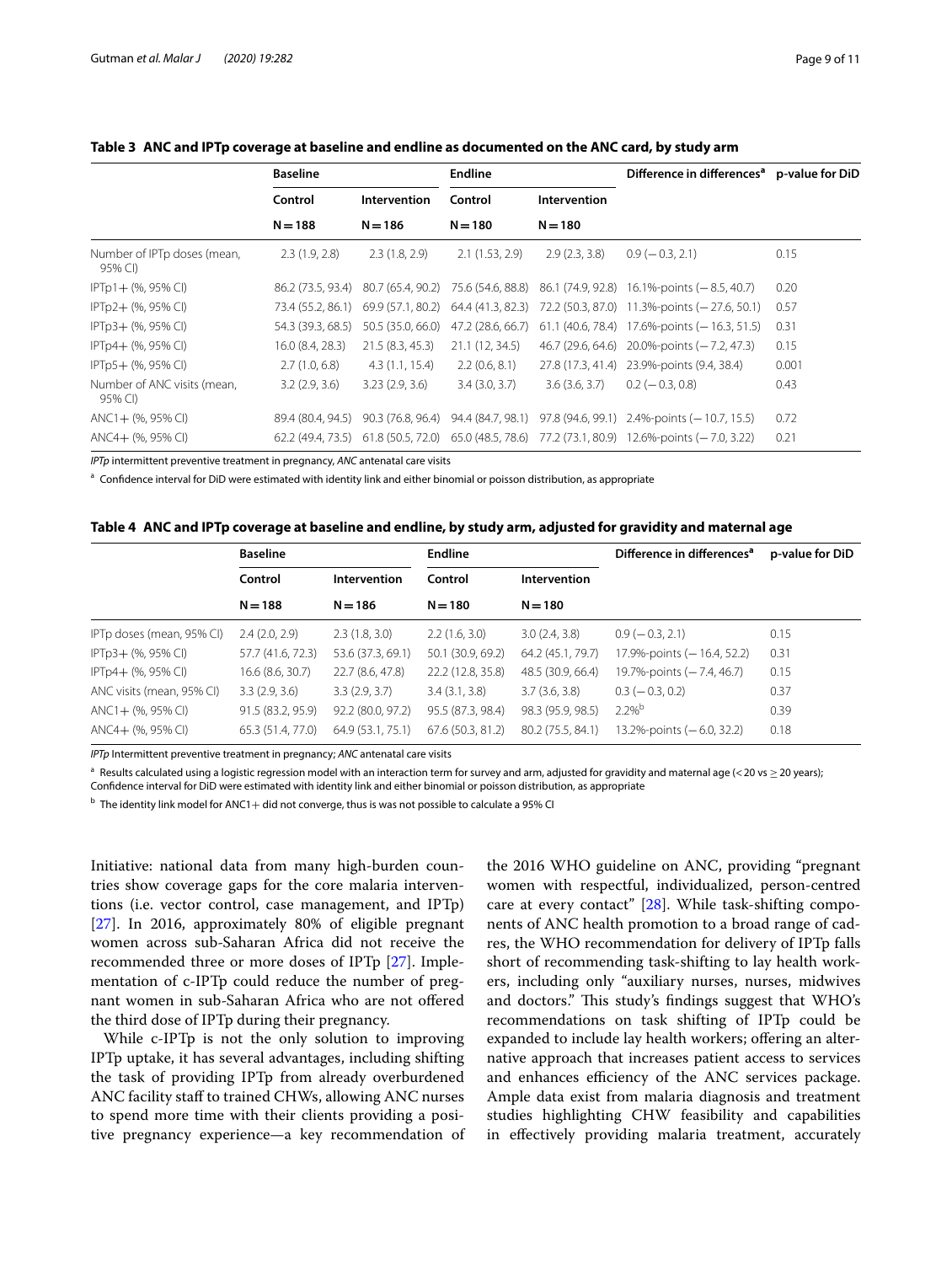|                                        | <b>Baseline</b>   |                     | <b>Endline</b>                        |               | Difference in differences <sup>a</sup>           | p-value for DiD |
|----------------------------------------|-------------------|---------------------|---------------------------------------|---------------|--------------------------------------------------|-----------------|
|                                        | Control           | <b>Intervention</b> | Control                               | Intervention  |                                                  |                 |
|                                        | $N = 188$         | $N = 186$           | $N = 180$                             | $N = 180$     |                                                  |                 |
| Number of IPTp doses (mean,<br>95% CI) | 2.3(1.9, 2.8)     | 2.3(1.8, 2.9)       | 2.1(1.53, 2.9)                        | 2.9(2.3, 3.8) | $0.9(-0.3, 2.1)$                                 | 0.15            |
| IPTp1+ (%, 95% CI)                     | 86.2 (73.5, 93.4) | 80.7 (65.4, 90.2)   | 75.6 (54.6, 88.8)                     |               | 86.1 (74.9, 92.8) 16.1%-points (-8.5, 40.7)      | 0.20            |
| IPTp2+ (%, 95% CI)                     | 73.4 (55.2, 86.1) | 69.9 (57.1, 80.2)   | 64.4 (41.3, 82.3)                     |               | $72.2$ (50.3, 87.0) 11.3%-points (-27.6, 50.1)   | 0.57            |
| IPTp3+ (%, 95% CI)                     | 54.3 (39.3, 68.5) | 50.5 (35.0, 66.0)   | 47.2 (28.6, 66.7)                     |               | $61.1$ (40.6, 78.4) 17.6%-points (-16.3, 51.5)   | 0.31            |
| IPTp4+ (%, 95% CI)                     | 16.0 (8.4, 28.3)  | 21.5(8.3, 45.3)     | 21.1 (12, 34.5)                       |               | $46.7(29.6, 64.6)$ 20.0%-points ( $-7.2, 47.3$ ) | 0.15            |
| $IPTp5+$ (%, 95% CI)                   | 2.7(1.0, 6.8)     | 4.3(1.1, 15.4)      | 2.2(0.6, 8.1)                         |               | 27.8 (17.3, 41.4) 23.9%-points (9.4, 38.4)       | 0.001           |
| Number of ANC visits (mean,<br>95% CI) | 3.2(2.9, 3.6)     | 3.23(2.9, 3.6)      | 3.4(3.0, 3.7)                         | 3.6(3.6, 3.7) | $0.2 (-0.3, 0.8)$                                | 0.43            |
| $ANC1 + (% 95% CI)$                    | 89.4 (80.4, 94.5) | 90.3 (76.8, 96.4)   | 94.4 (84.7, 98.1)                     |               | $97.8$ (94.6, 99.1) 2.4%-points (-10.7, 15.5)    | 0.72            |
| ANC4+ (%, 95% CI)                      | 62.2 (49.4, 73.5) |                     | $61.8(50.5, 72.0)$ $65.0(48.5, 78.6)$ |               | 77.2 (73.1, 80.9) 12.6%-points (-7.0, 3.22)      | 0.21            |

## <span id="page-8-0"></span>**Table 3 ANC and IPTp coverage at baseline and endline as documented on the ANC card, by study arm**

*IPTp* intermittent preventive treatment in pregnancy, *ANC* antenatal care visits

<sup>a</sup> Confidence interval for DiD were estimated with identity link and either binomial or poisson distribution, as appropriate

<span id="page-8-1"></span>

| Table 4   ANC and IPTp coverage at baseline and endline, by study arm, adjusted for gravidity and maternal age |  |  |
|----------------------------------------------------------------------------------------------------------------|--|--|
|                                                                                                                |  |  |

|                           | <b>Baseline</b>         |                   | <b>Endline</b>    |                   | Difference in differences <sup>a</sup> | p-value for DiD |
|---------------------------|-------------------------|-------------------|-------------------|-------------------|----------------------------------------|-----------------|
|                           | Control<br>Intervention |                   | Control           | Intervention      |                                        |                 |
|                           | $N = 188$               | $N = 186$         | $N = 180$         | $N = 180$         |                                        |                 |
| IPTp doses (mean, 95% CI) | 2.4(2.0, 2.9)           | 2.3(1.8, 3.0)     | 2.2(1.6, 3.0)     | 3.0(2.4, 3.8)     | $0.9(-0.3, 2.1)$                       | 0.15            |
| IPTp3+ (%, 95% CI)        | 57.7 (41.6, 72.3)       | 53.6 (37.3, 69.1) | 50.1 (30.9, 69.2) | 64.2 (45.1, 79.7) | 17.9%-points (-16.4, 52.2)             | 0.31            |
| IPTp4+ (%, 95% CI)        | 16.6 (8.6, 30.7)        | 22.7 (8.6, 47.8)  | 22.2 (12.8, 35.8) | 48.5 (30.9, 66.4) | 19.7%-points (-7.4, 46.7)              | 0.15            |
| ANC visits (mean, 95% CI) | 3.3(2.9, 3.6)           | 3.3(2.9, 3.7)     | 3.4(3.1, 3.8)     | 3.7(3.6, 3.8)     | $0.3 (-0.3, 0.2)$                      | 0.37            |
| $ANC1 + (% 95% CI)$       | 91.5 (83.2, 95.9)       | 92.2 (80.0, 97.2) | 95.5 (87.3, 98.4) | 98.3 (95.9, 98.5) | $2.2%^{b}$                             | 0.39            |
| $ANCA+$ (%, 95% CI)       | 65.3 (51.4, 77.0)       | 64.9 (53.1, 75.1) | 67.6 (50.3, 81.2) | 80.2 (75.5, 84.1) | $13.2\%$ -points ( $-6.0, 32.2$ )      | 0.18            |

*IPTp* Intermittent preventive treatment in pregnancy; *ANC* antenatal care visits

<sup>a</sup> Results calculated using a logistic regression model with an interaction term for survey and arm, adjusted for gravidity and maternal age (< 20 vs ≥ 20 years); Confdence interval for DiD were estimated with identity link and either binomial or poisson distribution, as appropriate

 $<sup>b</sup>$  The identity link model for ANC1 + did not converge, thus is was not possible to calculate a 95% CI</sup>

Initiative: national data from many high-burden countries show coverage gaps for the core malaria interventions (i.e. vector control, case management, and IPTp) [[27\]](#page-10-22). In 2016, approximately 80% of eligible pregnant women across sub-Saharan Africa did not receive the recommended three or more doses of IPTp [[27\]](#page-10-22). Implementation of c-IPTp could reduce the number of pregnant women in sub-Saharan Africa who are not ofered the third dose of IPTp during their pregnancy.

While c-IPTp is not the only solution to improving IPTp uptake, it has several advantages, including shifting the task of providing IPTp from already overburdened ANC facility staff to trained CHWs, allowing ANC nurses to spend more time with their clients providing a positive pregnancy experience—a key recommendation of

the 2016 WHO guideline on ANC, providing "pregnant women with respectful, individualized, person-centred care at every contact" [\[28](#page-10-23)]. While task-shifting components of ANC health promotion to a broad range of cadres, the WHO recommendation for delivery of IPTp falls short of recommending task-shifting to lay health workers, including only "auxiliary nurses, nurses, midwives and doctors." This study's findings suggest that WHO's recommendations on task shifting of IPTp could be expanded to include lay health workers; offering an alternative approach that increases patient access to services and enhances efficiency of the ANC services package. Ample data exist from malaria diagnosis and treatment studies highlighting CHW feasibility and capabilities in efectively providing malaria treatment, accurately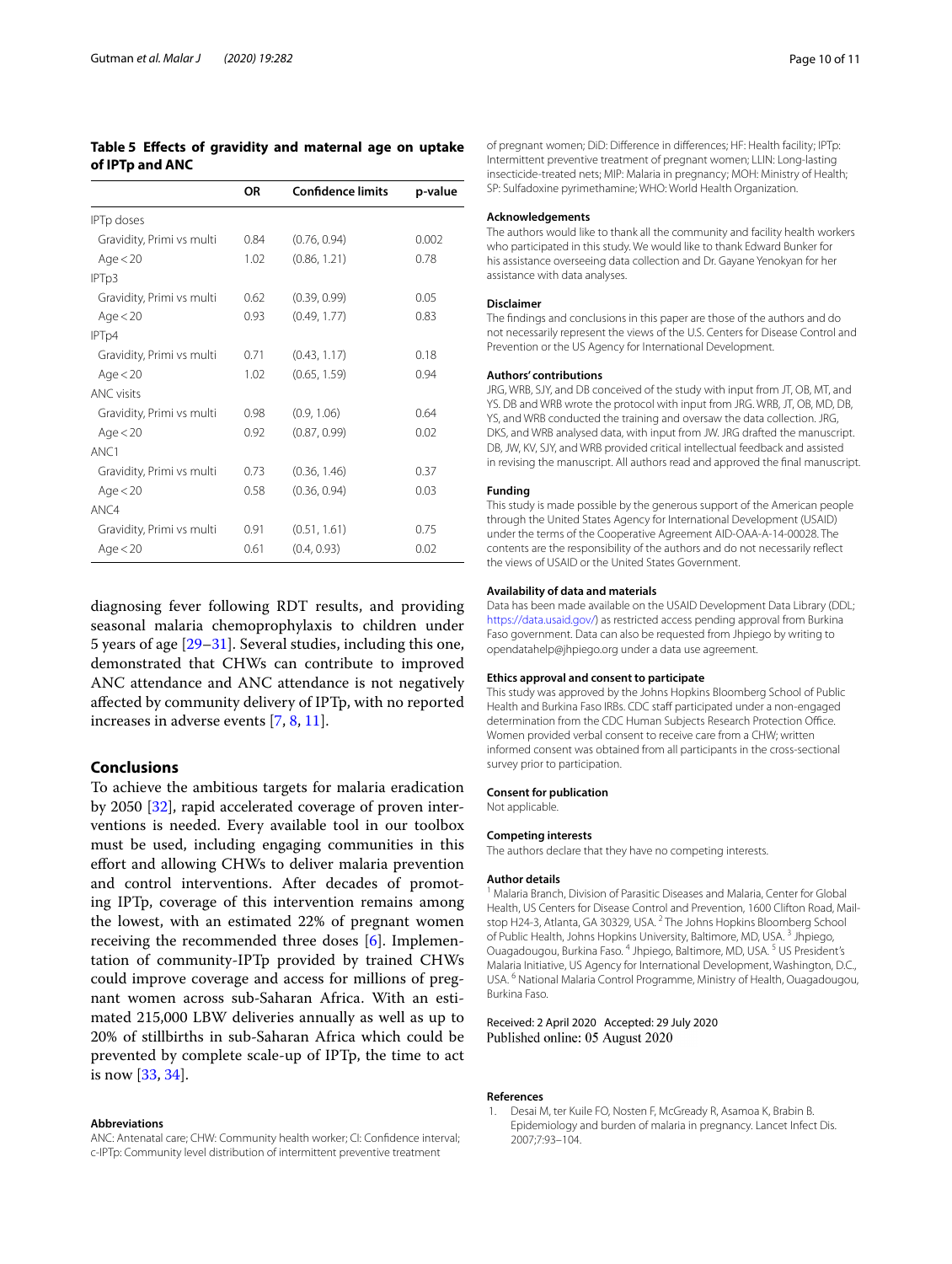## <span id="page-9-1"></span>**Table 5 Efects of gravidity and maternal age on uptake of IPTp and ANC**

|                           | OR   | <b>Confidence limits</b> | p-value |
|---------------------------|------|--------------------------|---------|
| <b>IPTp doses</b>         |      |                          |         |
| Gravidity, Primi vs multi | 0.84 | (0.76, 0.94)             | 0.002   |
| Age $<$ 20                | 1.02 | (0.86, 1.21)             | 0.78    |
| IPT <sub>p3</sub>         |      |                          |         |
| Gravidity, Primi vs multi | 0.62 | (0.39, 0.99)             | 0.05    |
| Age $<$ 20                | 0.93 | (0.49, 1.77)             | 0.83    |
| IPT <sub>p4</sub>         |      |                          |         |
| Gravidity, Primi vs multi | 0.71 | (0.43, 1.17)             | 0.18    |
| Age $<$ 20                | 1.02 | (0.65, 1.59)             | 0.94    |
| <b>ANC visits</b>         |      |                          |         |
| Gravidity, Primi vs multi | 0.98 | (0.9, 1.06)              | 0.64    |
| Age $<$ 20                | 0.92 | (0.87, 0.99)             | 0.02    |
| ANC1                      |      |                          |         |
| Gravidity, Primi vs multi | 0.73 | (0.36, 1.46)             | 0.37    |
| Age $<$ 20                | 0.58 | (0.36, 0.94)             | 0.03    |
| ANC4                      |      |                          |         |
| Gravidity, Primi vs multi | 0.91 | (0.51, 1.61)             | 0.75    |
| Age $<$ 20                | 0.61 | (0.4, 0.93)              | 0.02    |

diagnosing fever following RDT results, and providing seasonal malaria chemoprophylaxis to children under 5 years of age [[29](#page-10-24)[–31](#page-10-25)]. Several studies, including this one, demonstrated that CHWs can contribute to improved ANC attendance and ANC attendance is not negatively afected by community delivery of IPTp, with no reported increases in adverse events [[7,](#page-10-4) [8](#page-10-6), [11](#page-10-5)].

## **Conclusions**

To achieve the ambitious targets for malaria eradication by 2050 [\[32\]](#page-10-26), rapid accelerated coverage of proven interventions is needed. Every available tool in our toolbox must be used, including engaging communities in this efort and allowing CHWs to deliver malaria prevention and control interventions. After decades of promoting IPTp, coverage of this intervention remains among the lowest, with an estimated 22% of pregnant women receiving the recommended three doses [\[6](#page-10-3)]. Implementation of community-IPTp provided by trained CHWs could improve coverage and access for millions of pregnant women across sub-Saharan Africa. With an estimated 215,000 LBW deliveries annually as well as up to 20% of stillbirths in sub-Saharan Africa which could be prevented by complete scale-up of IPTp, the time to act is now [[33](#page-10-27), [34\]](#page-10-28).

#### **Abbreviations**

ANC: Antenatal care; CHW: Community health worker; CI: Confdence interval; c-IPTp: Community level distribution of intermittent preventive treatment

of pregnant women; DiD: Diference in diferences; HF: Health facility; IPTp: Intermittent preventive treatment of pregnant women; LLIN: Long-lasting insecticide-treated nets; MIP: Malaria in pregnancy; MOH: Ministry of Health; SP: Sulfadoxine pyrimethamine; WHO: World Health Organization.

#### **Acknowledgements**

The authors would like to thank all the community and facility health workers who participated in this study. We would like to thank Edward Bunker for his assistance overseeing data collection and Dr. Gayane Yenokyan for her assistance with data analyses.

#### **Disclaimer**

The fndings and conclusions in this paper are those of the authors and do not necessarily represent the views of the U.S. Centers for Disease Control and Prevention or the US Agency for International Development.

#### **Authors' contributions**

JRG, WRB, SJY, and DB conceived of the study with input from JT, OB, MT, and YS. DB and WRB wrote the protocol with input from JRG. WRB, JT, OB, MD, DB, YS, and WRB conducted the training and oversaw the data collection. JRG, DKS, and WRB analysed data, with input from JW. JRG drafted the manuscript. DB, JW, KV, SJY, and WRB provided critical intellectual feedback and assisted in revising the manuscript. All authors read and approved the fnal manuscript.

#### **Funding**

This study is made possible by the generous support of the American people through the United States Agency for International Development (USAID) under the terms of the Cooperative Agreement AID-OAA-A-14-00028. The contents are the responsibility of the authors and do not necessarily refect the views of USAID or the United States Government.

#### **Availability of data and materials**

Data has been made available on the USAID Development Data Library (DDL; [https://data.usaid.gov/\)](https://data.usaid.gov/) as restricted access pending approval from Burkina Faso government. Data can also be requested from Jhpiego by writing to opendatahelp@jhpiego.org under a data use agreement.

#### **Ethics approval and consent to participate**

This study was approved by the Johns Hopkins Bloomberg School of Public Health and Burkina Faso IRBs. CDC staff participated under a non-engaged determination from the CDC Human Subjects Research Protection Office. Women provided verbal consent to receive care from a CHW; written informed consent was obtained from all participants in the cross-sectional survey prior to participation.

### **Consent for publication**

Not applicable.

#### **Competing interests**

The authors declare that they have no competing interests.

#### **Author details**

<sup>1</sup> Malaria Branch, Division of Parasitic Diseases and Malaria, Center for Global Health, US Centers for Disease Control and Prevention, 1600 Clifton Road, Mailstop H24-3, Atlanta, GA 30329, USA.<sup>2</sup> The Johns Hopkins Bloomberg School of Public Health, Johns Hopkins University, Baltimore, MD, USA. 3 Jhpiego, Ouagadougou, Burkina Faso. 4 Jhpiego, Baltimore, MD, USA. 5 US President's Malaria Initiative, US Agency for International Development, Washington, D.C., USA. <sup>6</sup> National Malaria Control Programme, Ministry of Health, Ouagadougou, Burkina Faso.

Received: 2 April 2020 Accepted: 29 July 2020 Published online: 05 August 2020

#### **References**

<span id="page-9-0"></span>Desai M, ter Kuile FO, Nosten F, McGready R, Asamoa K, Brabin B. Epidemiology and burden of malaria in pregnancy. Lancet Infect Dis. 2007;7:93–104.